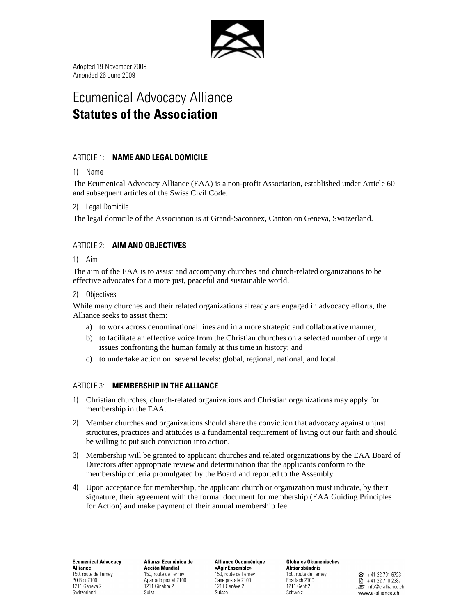

Adopted 19 November 2008 Amended 26 June 2009

# Ecumenical Advocacy Alliance **Statutes of the Association**

# ARTICLE 1: **NAME AND LEGAL DOMICILE**

## 1) Name

The Ecumenical Advocacy Alliance (EAA) is a non-profit Association, established under Article 60 and subsequent articles of the Swiss Civil Code.

## 2) Legal Domicile

The legal domicile of the Association is at Grand-Saconnex, Canton on Geneva, Switzerland.

# ARTICLE 2: **AIM AND OBJECTIVES**

## 1) Aim

The aim of the EAA is to assist and accompany churches and church-related organizations to be effective advocates for a more just, peaceful and sustainable world.

## 2) Objectives

While many churches and their related organizations already are engaged in advocacy efforts, the Alliance seeks to assist them:

- a) to work across denominational lines and in a more strategic and collaborative manner;
- b) to facilitate an effective voice from the Christian churches on a selected number of urgent issues confronting the human family at this time in history; and
- c) to undertake action on several levels: global, regional, national, and local.

# ARTICLE 3: **MEMBERSHIP IN THE ALLIANCE**

- 1) Christian churches, church-related organizations and Christian organizations may apply for membership in the EAA.
- 2) Member churches and organizations should share the conviction that advocacy against unjust structures, practices and attitudes is a fundamental requirement of living out our faith and should be willing to put such conviction into action.
- 3) Membership will be granted to applicant churches and related organizations by the EAA Board of Directors after appropriate review and determination that the applicants conform to the membership criteria promulgated by the Board and reported to the Assembly.
- 4) Upon acceptance for membership, the applicant church or organization must indicate, by their signature, their agreement with the formal document for membership (EAA Guiding Principles for Action) and make payment of their annual membership fee.

**Ecumenical Advocacv Alliance** 150, route de Ferney PO Box 2100 1211 Geneva 2 Switzerland

Alianza Ecuménica de **Acción Mundial** 150, route de Ferney Anartado nostal 2100 1211 Ginebra 2 Suiza

Alliance Oecuménique «Agir Ensemble» 150, route de Ferney Case postale 2100 1211 Genève 2 Suisse

**Globales Ökumenisches Aktionsbündnis** 150, route de Ferney Postfach 2100 1211 Genf 2 Schweiz

 $\bullet$  +41 22 791 6723 图 +41 22 710 2387 .. e7 info@e-alliance.ch www.e-alliance.ch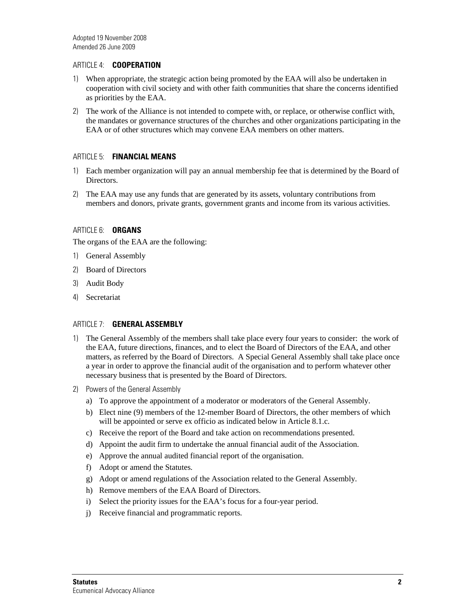## ARTICLE 4: **COOPERATION**

- 1) When appropriate, the strategic action being promoted by the EAA will also be undertaken in cooperation with civil society and with other faith communities that share the concerns identified as priorities by the EAA.
- 2) The work of the Alliance is not intended to compete with, or replace, or otherwise conflict with, the mandates or governance structures of the churches and other organizations participating in the EAA or of other structures which may convene EAA members on other matters.

## ARTICLE 5: **FINANCIAL MEANS**

- 1) Each member organization will pay an annual membership fee that is determined by the Board of Directors.
- 2) The EAA may use any funds that are generated by its assets, voluntary contributions from members and donors, private grants, government grants and income from its various activities.

## ARTICLE 6: **ORGANS**

The organs of the EAA are the following:

- 1) General Assembly
- 2) Board of Directors
- 3) Audit Body
- 4) Secretariat

## ARTICLE 7: **GENERAL ASSEMBLY**

- 1) The General Assembly of the members shall take place every four years to consider: the work of the EAA, future directions, finances, and to elect the Board of Directors of the EAA, and other matters, as referred by the Board of Directors. A Special General Assembly shall take place once a year in order to approve the financial audit of the organisation and to perform whatever other necessary business that is presented by the Board of Directors.
- 2) Powers of the General Assembly
	- a) To approve the appointment of a moderator or moderators of the General Assembly.
	- b) Elect nine (9) members of the 12-member Board of Directors, the other members of which will be appointed or serve ex officio as indicated below in Article 8.1.c.
	- c) Receive the report of the Board and take action on recommendations presented.
	- d) Appoint the audit firm to undertake the annual financial audit of the Association.
	- e) Approve the annual audited financial report of the organisation.
	- f) Adopt or amend the Statutes.
	- g) Adopt or amend regulations of the Association related to the General Assembly.
	- h) Remove members of the EAA Board of Directors.
	- i) Select the priority issues for the EAA's focus for a four-year period.
	- j) Receive financial and programmatic reports.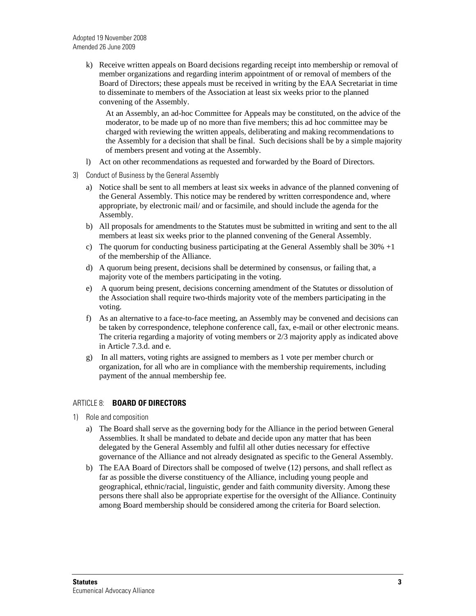k) Receive written appeals on Board decisions regarding receipt into membership or removal of member organizations and regarding interim appointment of or removal of members of the Board of Directors; these appeals must be received in writing by the EAA Secretariat in time to disseminate to members of the Association at least six weeks prior to the planned convening of the Assembly.

At an Assembly, an ad-hoc Committee for Appeals may be constituted, on the advice of the moderator, to be made up of no more than five members; this ad hoc committee may be charged with reviewing the written appeals, deliberating and making recommendations to the Assembly for a decision that shall be final. Such decisions shall be by a simple majority of members present and voting at the Assembly.

- l) Act on other recommendations as requested and forwarded by the Board of Directors.
- 3) Conduct of Business by the General Assembly
	- a) Notice shall be sent to all members at least six weeks in advance of the planned convening of the General Assembly. This notice may be rendered by written correspondence and, where appropriate, by electronic mail/ and or facsimile, and should include the agenda for the Assembly.
	- b) All proposals for amendments to the Statutes must be submitted in writing and sent to the all members at least six weeks prior to the planned convening of the General Assembly.
	- c) The quorum for conducting business participating at the General Assembly shall be  $30\% +1$ of the membership of the Alliance.
	- d) A quorum being present, decisions shall be determined by consensus, or failing that, a majority vote of the members participating in the voting.
	- e) A quorum being present, decisions concerning amendment of the Statutes or dissolution of the Association shall require two-thirds majority vote of the members participating in the voting.
	- f) As an alternative to a face-to-face meeting, an Assembly may be convened and decisions can be taken by correspondence, telephone conference call, fax, e-mail or other electronic means. The criteria regarding a majority of voting members or 2/3 majority apply as indicated above in Article 7.3.d. and e.
	- g) In all matters, voting rights are assigned to members as 1 vote per member church or organization, for all who are in compliance with the membership requirements, including payment of the annual membership fee.

# ARTICLE 8: **BOARD OF DIRECTORS**

- 1) Role and composition
	- a) The Board shall serve as the governing body for the Alliance in the period between General Assemblies. It shall be mandated to debate and decide upon any matter that has been delegated by the General Assembly and fulfil all other duties necessary for effective governance of the Alliance and not already designated as specific to the General Assembly.
	- b) The EAA Board of Directors shall be composed of twelve (12) persons, and shall reflect as far as possible the diverse constituency of the Alliance, including young people and geographical, ethnic/racial, linguistic, gender and faith community diversity. Among these persons there shall also be appropriate expertise for the oversight of the Alliance. Continuity among Board membership should be considered among the criteria for Board selection.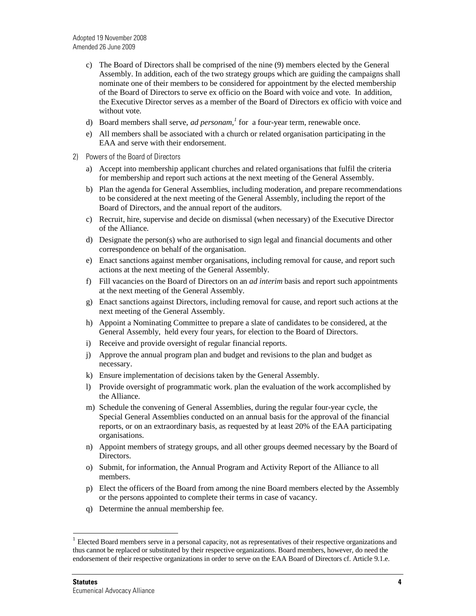- c) The Board of Directors shall be comprised of the nine (9) members elected by the General Assembly. In addition, each of the two strategy groups which are guiding the campaigns shall nominate one of their members to be considered for appointment by the elected membership of the Board of Directors to serve ex officio on the Board with voice and vote. In addition, the Executive Director serves as a member of the Board of Directors ex officio with voice and without vote.
- d) Board members shall serve, *ad personam,<sup>1</sup>* for a four-year term, renewable once.
- e) All members shall be associated with a church or related organisation participating in the EAA and serve with their endorsement.
- 2) Powers of the Board of Directors
	- a) Accept into membership applicant churches and related organisations that fulfil the criteria for membership and report such actions at the next meeting of the General Assembly.
	- b) Plan the agenda for General Assemblies, including moderation, and prepare recommendations to be considered at the next meeting of the General Assembly, including the report of the Board of Directors, and the annual report of the auditors.
	- c) Recruit, hire, supervise and decide on dismissal (when necessary) of the Executive Director of the Alliance.
	- d) Designate the person(s) who are authorised to sign legal and financial documents and other correspondence on behalf of the organisation.
	- e) Enact sanctions against member organisations, including removal for cause, and report such actions at the next meeting of the General Assembly.
	- f) Fill vacancies on the Board of Directors on an *ad interim* basis and report such appointments at the next meeting of the General Assembly.
	- g) Enact sanctions against Directors, including removal for cause, and report such actions at the next meeting of the General Assembly.
	- h) Appoint a Nominating Committee to prepare a slate of candidates to be considered, at the General Assembly, held every four years, for election to the Board of Directors.
	- i) Receive and provide oversight of regular financial reports.
	- j) Approve the annual program plan and budget and revisions to the plan and budget as necessary.
	- k) Ensure implementation of decisions taken by the General Assembly.
	- l) Provide oversight of programmatic work. plan the evaluation of the work accomplished by the Alliance.
	- m) Schedule the convening of General Assemblies, during the regular four-year cycle, the Special General Assemblies conducted on an annual basis for the approval of the financial reports, or on an extraordinary basis, as requested by at least 20% of the EAA participating organisations.
	- n) Appoint members of strategy groups, and all other groups deemed necessary by the Board of Directors.
	- o) Submit, for information, the Annual Program and Activity Report of the Alliance to all members.
	- p) Elect the officers of the Board from among the nine Board members elected by the Assembly or the persons appointed to complete their terms in case of vacancy.
	- q) Determine the annual membership fee.

-

<sup>&</sup>lt;sup>1</sup> Elected Board members serve in a personal capacity, not as representatives of their respective organizations and thus cannot be replaced or substituted by their respective organizations. Board members, however, do need the endorsement of their respective organizations in order to serve on the EAA Board of Directors cf. Article 9.1.e.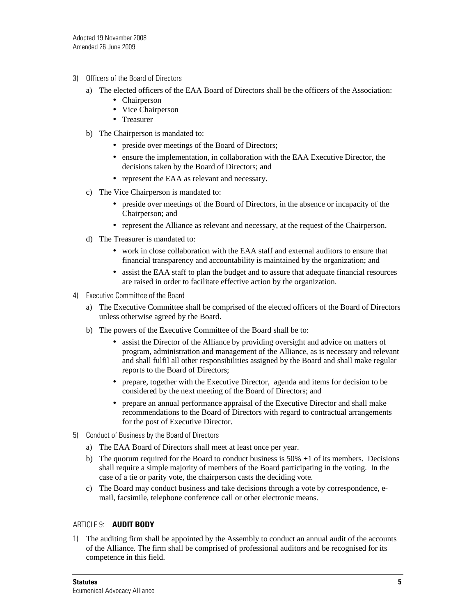- 3) Officers of the Board of Directors
	- a) The elected officers of the EAA Board of Directors shall be the officers of the Association:
		- Chairperson
		- Vice Chairperson
		- Treasurer
	- b) The Chairperson is mandated to:
		- preside over meetings of the Board of Directors;
		- ensure the implementation, in collaboration with the EAA Executive Director, the decisions taken by the Board of Directors; and
		- represent the EAA as relevant and necessary.
	- c) The Vice Chairperson is mandated to:
		- preside over meetings of the Board of Directors, in the absence or incapacity of the Chairperson; and
		- represent the Alliance as relevant and necessary, at the request of the Chairperson.
	- d) The Treasurer is mandated to:
		- work in close collaboration with the EAA staff and external auditors to ensure that financial transparency and accountability is maintained by the organization; and
		- assist the EAA staff to plan the budget and to assure that adequate financial resources are raised in order to facilitate effective action by the organization.
- 4) Executive Committee of the Board
	- a) The Executive Committee shall be comprised of the elected officers of the Board of Directors unless otherwise agreed by the Board.
	- b) The powers of the Executive Committee of the Board shall be to:
		- assist the Director of the Alliance by providing oversight and advice on matters of program, administration and management of the Alliance, as is necessary and relevant and shall fulfil all other responsibilities assigned by the Board and shall make regular reports to the Board of Directors;
		- prepare, together with the Executive Director, agenda and items for decision to be considered by the next meeting of the Board of Directors; and
		- prepare an annual performance appraisal of the Executive Director and shall make recommendations to the Board of Directors with regard to contractual arrangements for the post of Executive Director.
- 5) Conduct of Business by the Board of Directors
	- a) The EAA Board of Directors shall meet at least once per year.
	- b) The quorum required for the Board to conduct business is  $50\% + 1$  of its members. Decisions shall require a simple majority of members of the Board participating in the voting. In the case of a tie or parity vote, the chairperson casts the deciding vote.
	- c) The Board may conduct business and take decisions through a vote by correspondence, email, facsimile, telephone conference call or other electronic means.

# ARTICLE 9: **AUDIT BODY**

1) The auditing firm shall be appointed by the Assembly to conduct an annual audit of the accounts of the Alliance. The firm shall be comprised of professional auditors and be recognised for its competence in this field.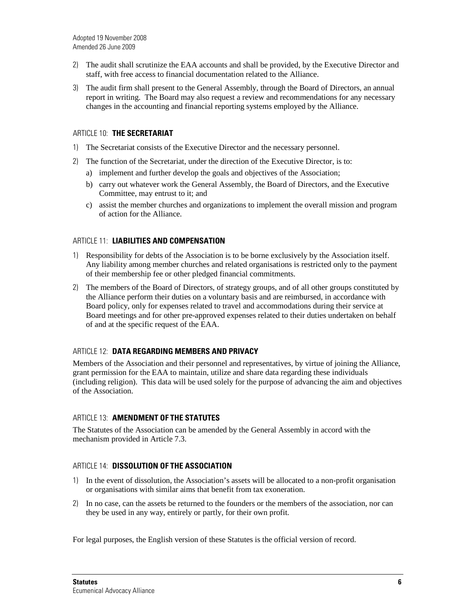- 2) The audit shall scrutinize the EAA accounts and shall be provided, by the Executive Director and staff, with free access to financial documentation related to the Alliance.
- 3) The audit firm shall present to the General Assembly, through the Board of Directors, an annual report in writing. The Board may also request a review and recommendations for any necessary changes in the accounting and financial reporting systems employed by the Alliance.

## ARTICLE 10: **THE SECRETARIAT**

- 1) The Secretariat consists of the Executive Director and the necessary personnel.
- 2) The function of the Secretariat, under the direction of the Executive Director, is to:
	- a) implement and further develop the goals and objectives of the Association;
	- b) carry out whatever work the General Assembly, the Board of Directors, and the Executive Committee, may entrust to it; and
	- c) assist the member churches and organizations to implement the overall mission and program of action for the Alliance.

## ARTICLE 11: **LIABILITIES AND COMPENSATION**

- 1) Responsibility for debts of the Association is to be borne exclusively by the Association itself. Any liability among member churches and related organisations is restricted only to the payment of their membership fee or other pledged financial commitments.
- 2) The members of the Board of Directors, of strategy groups, and of all other groups constituted by the Alliance perform their duties on a voluntary basis and are reimbursed, in accordance with Board policy, only for expenses related to travel and accommodations during their service at Board meetings and for other pre-approved expenses related to their duties undertaken on behalf of and at the specific request of the EAA.

## ARTICLE 12: **DATA REGARDING MEMBERS AND PRIVACY**

Members of the Association and their personnel and representatives, by virtue of joining the Alliance, grant permission for the EAA to maintain, utilize and share data regarding these individuals (including religion). This data will be used solely for the purpose of advancing the aim and objectives of the Association.

## ARTICLE 13: **AMENDMENT OF THE STATUTES**

The Statutes of the Association can be amended by the General Assembly in accord with the mechanism provided in Article 7.3.

# ARTICLE 14: **DISSOLUTION OF THE ASSOCIATION**

- 1) In the event of dissolution, the Association's assets will be allocated to a non-profit organisation or organisations with similar aims that benefit from tax exoneration.
- 2) In no case, can the assets be returned to the founders or the members of the association, nor can they be used in any way, entirely or partly, for their own profit.

For legal purposes, the English version of these Statutes is the official version of record.